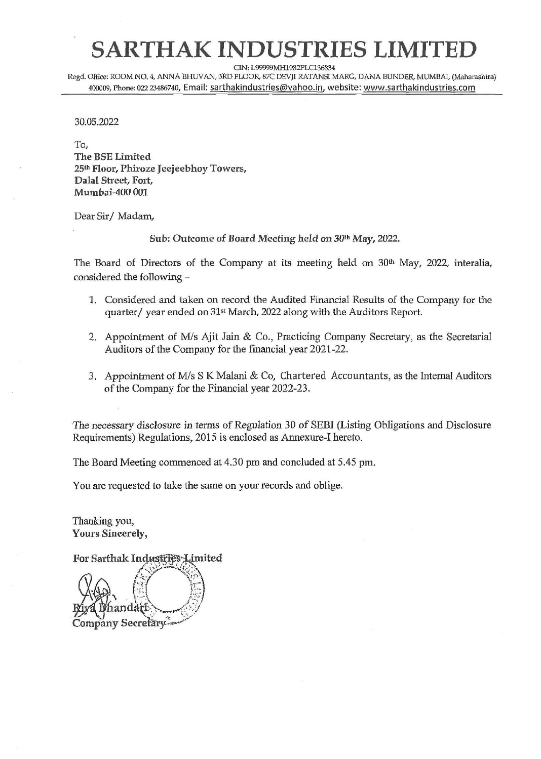## SARTHAK INDUSTRIES LIMIT

CIN: L99999MH1982PLC136834

**Regd.** Office: ROOM NO. 4, ANNA BHLNAN, **3RD** FLOOR, 87C DEVJI RATANSI MARG, DANA BUNDER, MUMBAI, **(Maharashha)**  400009, Phone: 022 23486740, Email: sarthakindustries@yahoo.in, website: www.sarthakindustries.com

#### 30.05.2022

To, The BSE Limited **25&** Floor, Phiroze Jeejeebhoy Towers, Dalal Street, Fort, Mumbai-400 001

Dear Sir/ Madam,

Sub: Outcome of Board Meeting held on 30" *May,* **2022.** 

The Board of Directors of the Company at its meeting held on 30<sup>th</sup> May, 2022, interalia, considered the following -

- 1. Considered and taken on record the Audited Financial Results of the Company for the quarter/ year ended on 31<sup>st</sup> March, 2022 along with the Auditors Report.
- 2. Appointment of M/s Ajit Jain & Co., Practicing Company Secretary, as the Secretarial Auditors of the Company for the financial year 2021-22.
- **3.** Appointment of M/s S K Malani & Co, Chartered Accountants, as the Internal Auditors of the Company for the Financial year 2022-23.

The necessary disclosure in terms of Regulation 30 of SEBI (Listing Obligations and Disclosure Requirements) Regulations, 2015 is enclosed as Annexure-I hereto.

The Board Meeting commenced at 4.30 pm and concluded at 5.45 pm.

You are requested to take the same on your records and oblige.

Thanking you, **Yours** Sincerely,

For Sarthak Industries Limited Company Secretary